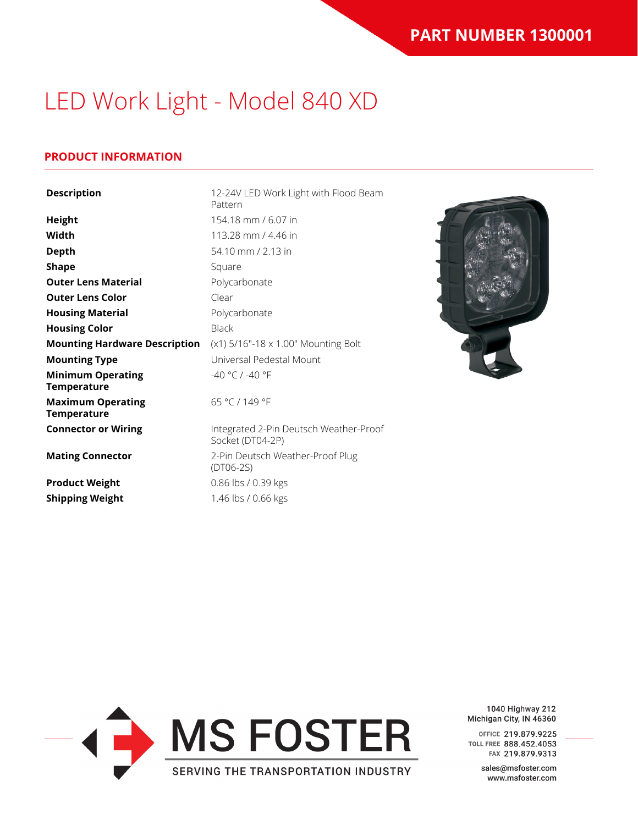### **PRODUCT INFORMATION**

| <b>Description</b>                             | 12-24V LED Work Light with Flood Beam<br>Pattern           |
|------------------------------------------------|------------------------------------------------------------|
| <b>Height</b>                                  | 154.18 mm / 6.07 in                                        |
| Width                                          | 113.28 mm / 4.46 in                                        |
| <b>Depth</b>                                   | 54.10 mm / 2.13 in                                         |
| <b>Shape</b>                                   | Square                                                     |
| <b>Outer Lens Material</b>                     | Polycarbonate                                              |
| <b>Outer Lens Color</b>                        | Clear                                                      |
| <b>Housing Material</b>                        | Polycarbonate                                              |
| <b>Housing Color</b>                           | <b>Black</b>                                               |
| <b>Mounting Hardware Description</b>           | (x1) 5/16"-18 x 1.00" Mounting Bolt                        |
| <b>Mounting Type</b>                           | Universal Pedestal Mount                                   |
| <b>Minimum Operating</b><br><b>Temperature</b> | $-40 °C / -40 °F$                                          |
| <b>Maximum Operating</b><br><b>Temperature</b> | 65 °C / 149 °F                                             |
| <b>Connector or Wiring</b>                     | Integrated 2-Pin Deutsch Weather-Proof<br>Socket (DT04-2P) |
| <b>Mating Connector</b>                        | 2-Pin Deutsch Weather-Proof Plug<br>$(DTO6-2S)$            |
| <b>Product Weight</b>                          | 0.86 lbs / 0.39 kgs                                        |
| <b>Shipping Weight</b>                         | 1.46 lbs / 0.66 kgs                                        |



1040 Highway 212 Michigan City, IN 46360

OFFICE 219.879.9225 TOLL FREE 888.452.4053 FAX 219.879.9313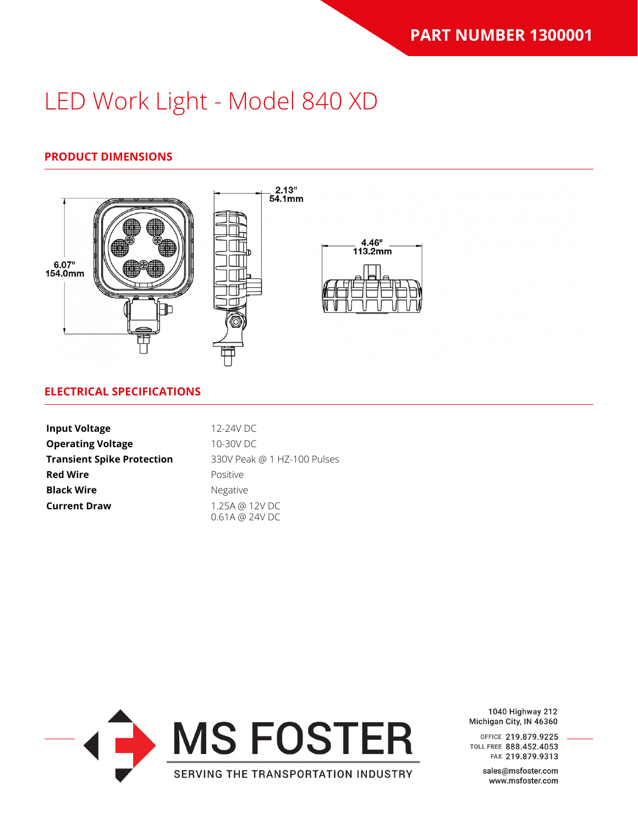### **PRODUCT DIMENSIONS**



#### **ELECTRICAL SPECIFICATIONS**

| <b>Input Voltage</b>              | 12-24V DC                                  |
|-----------------------------------|--------------------------------------------|
| <b>Operating Voltage</b>          | 10-30V DC                                  |
| <b>Transient Spike Protection</b> | 330V Peak @ 1 HZ-100 Pulses                |
| <b>Red Wire</b>                   | Positive                                   |
| <b>Black Wire</b>                 | <b>Negative</b>                            |
| <b>Current Draw</b>               | 1.25A @ 12V DC<br>$0.61A \t{a} 24V \t{D}C$ |



1040 Highway 212 Michigan City, IN 46360

OFFICE 219.879.9225 TOLL FREE 888.452.4053 FAX 219.879.9313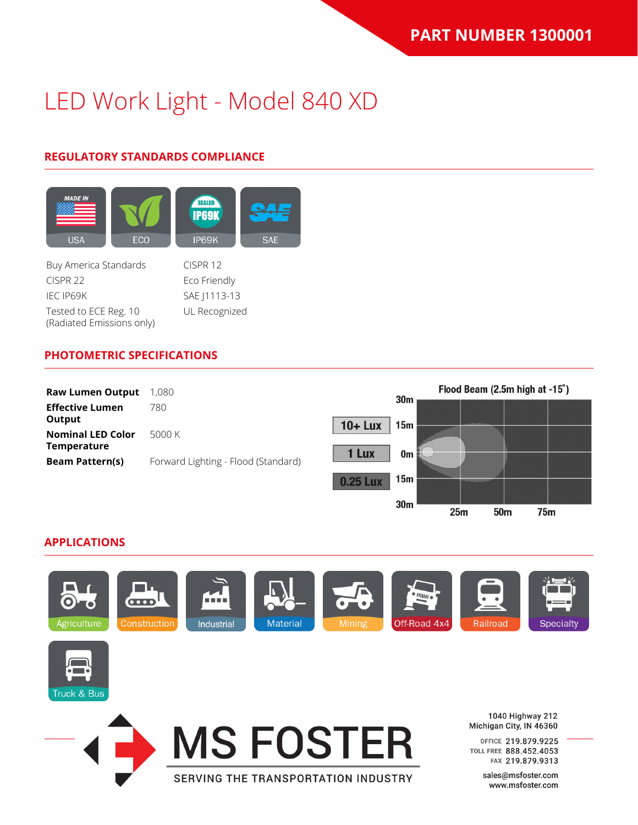### **REGULATORY STANDARDS COMPLIANCE**



Buy America Standards CISPR 12 CISPR 22 Eco Friendly IEC IP69K SAE J1113-13 Tested to ECE Reg. 10 (Radiated Emissions only)

UL Recognized

#### **PHOTOMETRIC SPECIFICATIONS**



#### **APPLICATIONS**



**MS FOSTER** 

SERVING THE TRANSPORTATION INDUSTRY



1040 Highway 212 Michigan City, IN 46360

 $25m$ 

 $50<sub>m</sub>$ 

**75m** 

OFFICE 219.879.9225 TOLL FREE 888.452.4053 FAX 219.879.9313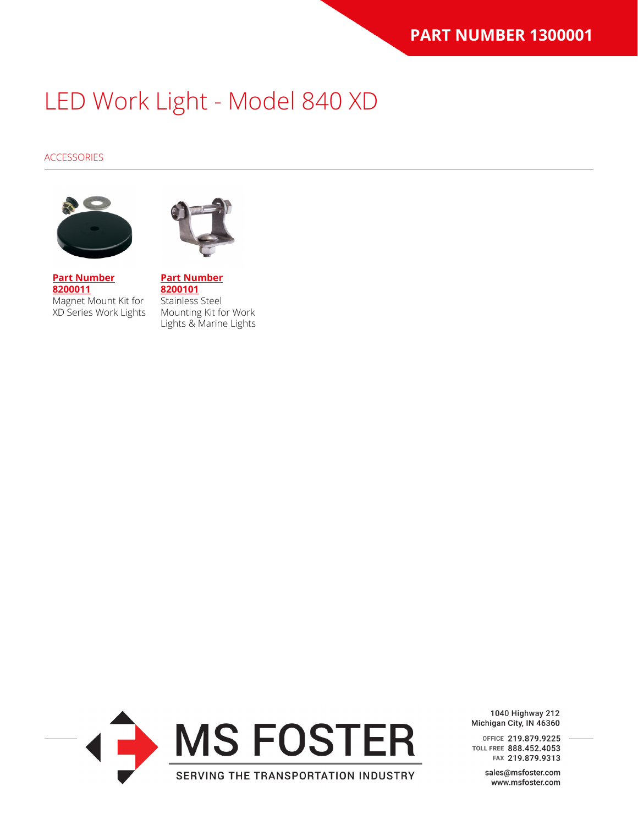#### ACCESSORIES





**[Part Number](https://www.jwspeaker.com/?post_type=part&p=5823&preview=true) [8200011](https://www.jwspeaker.com/?post_type=part&p=5823&preview=true)** Magnet Mount Kit for XD Series Work Lights

**[Part Number](https://www.jwspeaker.com/products/led-worklights-model-670-xd/8200101/) [8200101](https://www.jwspeaker.com/products/led-worklights-model-670-xd/8200101/)** Stainless Steel Mounting Kit for Work Lights & Marine Lights



1040 Highway 212 Michigan City, IN 46360

OFFICE 219.879.9225 TOLL FREE 888.452.4053 FAX 219.879.9313